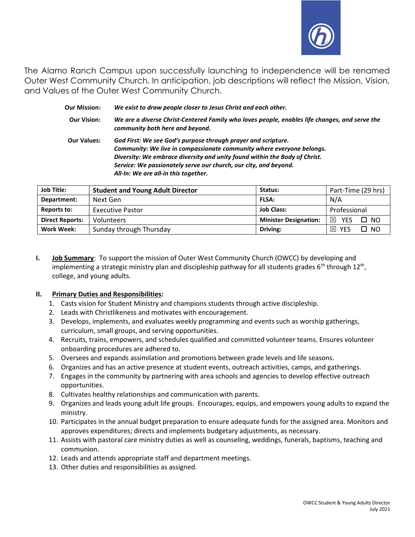

The Alamo Ranch Campus upon successfully launching to independence will be renamed Outer West Community Church. In anticipation, job descriptions will reflect the Mission, Vision, and Values of the Outer West Community Church.

| <b>Our Mission:</b> | We exist to draw people closer to Jesus Christ and each other.                                                                                                                                                                                                                                                                   |  |
|---------------------|----------------------------------------------------------------------------------------------------------------------------------------------------------------------------------------------------------------------------------------------------------------------------------------------------------------------------------|--|
| <b>Our Vision:</b>  | We are a diverse Christ-Centered Family who loves people, enables life changes, and serve the<br>community both here and beyond.                                                                                                                                                                                                 |  |
| <b>Our Values:</b>  | God First: We see God's purpose through prayer and scripture.<br>Community: We live in compassionate community where everyone belongs.<br>Diversity: We embrace diversity and unity found within the Body of Christ.<br>Service: We passionately serve our church, our city, and beyond.<br>All-In: We are all-in this together. |  |

| <b>Job Title:</b>      | <b>Student and Young Adult Director</b> | Status:                      | Part-Time (29 hrs)              |
|------------------------|-----------------------------------------|------------------------------|---------------------------------|
| Department:            | Next Gen                                | <b>FLSA:</b>                 | N/A                             |
| <b>Reports to:</b>     | <b>Executive Pastor</b>                 | <b>Job Class:</b>            | Professional                    |
| <b>Direct Reports:</b> | Volunteers                              | <b>Minister Designation:</b> | ⊠<br>$\square$ NO<br><b>YES</b> |
| Work Week:             | Sunday through Thursday                 | Driving:                     | □ №<br>冈<br>YES                 |

I. **Job Summary**: To support the mission of Outer West Community Church (OWCC) by developing and implementing a strategic ministry plan and discipleship pathway for all students grades 6<sup>th</sup> through 12<sup>th</sup>, college, and young adults.

### II. Primary Duties and Responsibilities:

- 1. Casts vision for Student Ministry and champions students through active discipleship.
- 2. Leads with Christlikeness and motivates with encouragement.
- 3. Develops, implements, and evaluates weekly programming and events such as worship gatherings, curriculum, small groups, and serving opportunities.
- 4. Recruits, trains, empowers, and schedules qualified and committed volunteer teams. Ensures volunteer onboarding procedures are adhered to.
- 5. Oversees and expands assimilation and promotions between grade levels and life seasons.
- 6. Organizes and has an active presence at student events, outreach activities, camps, and gatherings.
- 7. Engages in the community by partnering with area schools and agencies to develop effective outreach opportunities.
- 8. Cultivates healthy relationships and communication with parents.
- 9. Organizes and leads young adult life groups. Encourages, equips, and empowers young adults to expand the ministry.
- 10. Participates in the annual budget preparation to ensure adequate funds for the assigned area. Monitors and approves expenditures; directs and implements budgetary adjustments, as necessary.
- 11. Assists with pastoral care ministry duties as well as counseling, weddings, funerals, baptisms, teaching and communion.
- 12. Leads and attends appropriate staff and department meetings.
- 13. Other duties and responsibilities as assigned.